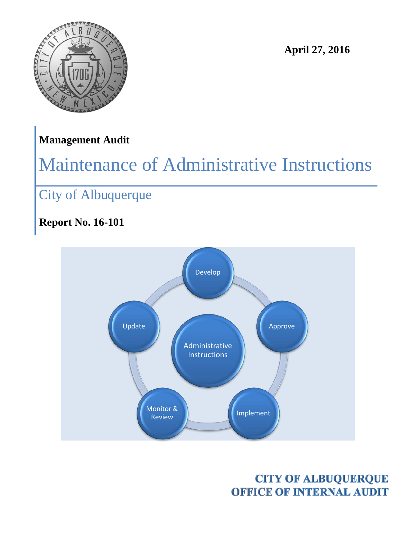

**April 27, 2016**

## **Management Audit**

# Maintenance of Administrative Instructions

## City of Albuquerque

## **Report No. 16-101**



**CITY OF ALBUQUERQUE OFFICE OF INTERNAL AUDIT**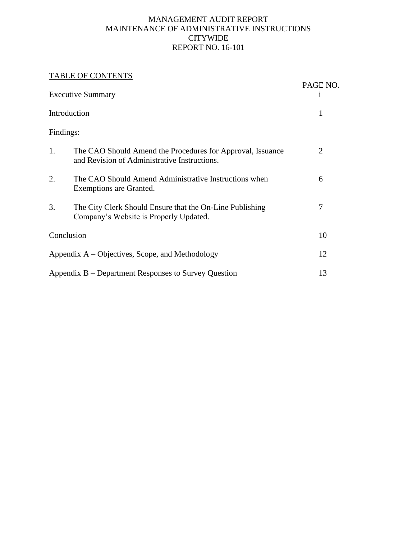#### MANAGEMENT AUDIT REPORT MAINTENANCE OF ADMINISTRATIVE INSTRUCTIONS CITYWIDE REPORT NO. 16-101

#### TABLE OF CONTENTS

| <b>IADLE UF CUNTENTS</b>                             |                                                                                                            |          |
|------------------------------------------------------|------------------------------------------------------------------------------------------------------------|----------|
| <b>Executive Summary</b>                             |                                                                                                            | PAGE NO. |
| Introduction                                         |                                                                                                            | 1        |
| Findings:                                            |                                                                                                            |          |
| 1.                                                   | The CAO Should Amend the Procedures for Approval, Issuance<br>and Revision of Administrative Instructions. | 2        |
| 2.                                                   | The CAO Should Amend Administrative Instructions when<br>Exemptions are Granted.                           | 6        |
| 3.                                                   | The City Clerk Should Ensure that the On-Line Publishing<br>Company's Website is Properly Updated.         | 7        |
| Conclusion                                           |                                                                                                            | 10       |
| Appendix A – Objectives, Scope, and Methodology      |                                                                                                            | 12       |
| Appendix B – Department Responses to Survey Question |                                                                                                            | 13       |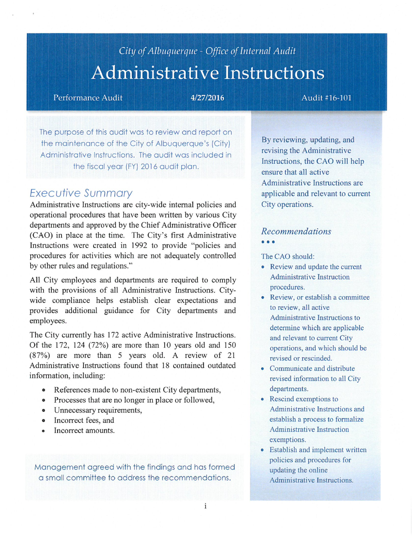## City of Albuquerque - Office of Internal Audit **Administrative Instructions**

Performance Audit

4/27/2016

#### Audit #16-101

The purpose of this audit was to review and report on the maintenance of the City of Albuquerque's (City) Administrative Instructions. The audit was included in the fiscal year (FY) 2016 audit plan.

### **Executive Summary**

Administrative Instructions are city-wide internal policies and operational procedures that have been written by various City departments and approved by the Chief Administrative Officer (CAO) in place at the time. The City's first Administrative Instructions were created in 1992 to provide "policies and procedures for activities which are not adequately controlled by other rules and regulations."

All City employees and departments are required to comply with the provisions of all Administrative Instructions. Citywide compliance helps establish clear expectations and provides additional guidance for City departments and employees.

The City currently has 172 active Administrative Instructions. Of the 172, 124 (72%) are more than 10 years old and 150 (87%) are more than 5 years old. A review of 21 Administrative Instructions found that 18 contained outdated information, including:

- References made to non-existent City departments,
- Processes that are no longer in place or followed,
- Unnecessary requirements,
- Incorrect fees, and
- Incorrect amounts.  $\bullet$

Management agreed with the findings and has formed a small committee to address the recommendations.

By reviewing, updating, and revising the Administrative Instructions, the CAO will help ensure that all active Administrative Instructions are applicable and relevant to current City operations.

#### **Recommendations**  $• • •$

The CAO should:

- Review and update the current **Administrative Instruction** procedures.
- Review, or establish a committee to review, all active Administrative Instructions to determine which are applicable and relevant to current City operations, and which should be revised or rescinded.
- Communicate and distribute revised information to all City departments.
- Rescind exemptions to Administrative Instructions and establish a process to formalize **Administrative Instruction** exemptions.
- Establish and implement written policies and procedures for updating the online Administrative Instructions.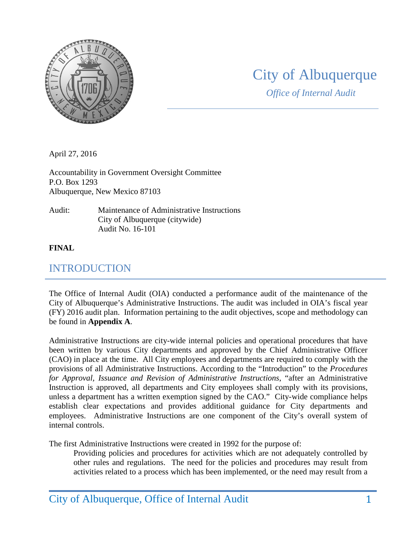

## City of Albuquerque

*Office of Internal Audit*

April 27, 2016

Accountability in Government Oversight Committee P.O. Box 1293 Albuquerque, New Mexico 87103

Audit: Maintenance of Administrative Instructions City of Albuquerque (citywide) Audit No. 16-101

#### **FINAL**

## INTRODUCTION

The Office of Internal Audit (OIA) conducted a performance audit of the maintenance of the City of Albuquerque's Administrative Instructions. The audit was included in OIA's fiscal year (FY) 2016 audit plan. Information pertaining to the audit objectives, scope and methodology can be found in **Appendix A**.

Administrative Instructions are city-wide internal policies and operational procedures that have been written by various City departments and approved by the Chief Administrative Officer (CAO) in place at the time. All City employees and departments are required to comply with the provisions of all Administrative Instructions. According to the "Introduction" to the *Procedures for Approval, Issuance and Revision of Administrative Instructions*, "after an Administrative Instruction is approved, all departments and City employees shall comply with its provisions, unless a department has a written exemption signed by the CAO." City-wide compliance helps establish clear expectations and provides additional guidance for City departments and employees. Administrative Instructions are one component of the City's overall system of internal controls.

The first Administrative Instructions were created in 1992 for the purpose of:

Providing policies and procedures for activities which are not adequately controlled by other rules and regulations. The need for the policies and procedures may result from activities related to a process which has been implemented, or the need may result from a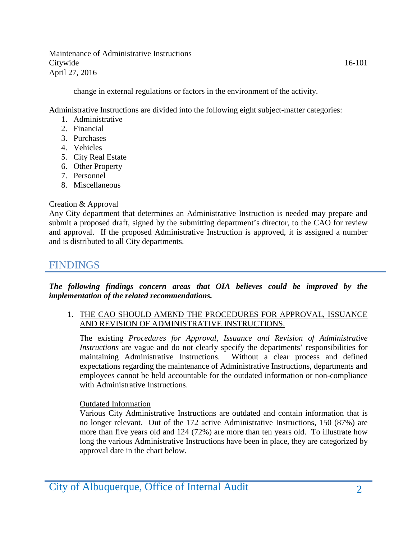change in external regulations or factors in the environment of the activity.

Administrative Instructions are divided into the following eight subject-matter categories:

- 1. Administrative
- 2. Financial
- 3. Purchases
- 4. Vehicles
- 5. City Real Estate
- 6. Other Property
- 7. Personnel
- 8. Miscellaneous

#### Creation & Approval

Any City department that determines an Administrative Instruction is needed may prepare and submit a proposed draft, signed by the submitting department's director, to the CAO for review and approval. If the proposed Administrative Instruction is approved, it is assigned a number and is distributed to all City departments.

### FINDINGS

*The following findings concern areas that OIA believes could be improved by the implementation of the related recommendations.*

#### 1. THE CAO SHOULD AMEND THE PROCEDURES FOR APPROVAL, ISSUANCE AND REVISION OF ADMINISTRATIVE INSTRUCTIONS.

The existing *Procedures for Approval, Issuance and Revision of Administrative Instructions* are vague and do not clearly specify the departments' responsibilities for maintaining Administrative Instructions. Without a clear process and defined expectations regarding the maintenance of Administrative Instructions, departments and employees cannot be held accountable for the outdated information or non-compliance with Administrative Instructions.

#### Outdated Information

Various City Administrative Instructions are outdated and contain information that is no longer relevant. Out of the 172 active Administrative Instructions, 150 (87%) are more than five years old and 124 (72%) are more than ten years old. To illustrate how long the various Administrative Instructions have been in place, they are categorized by approval date in the chart below.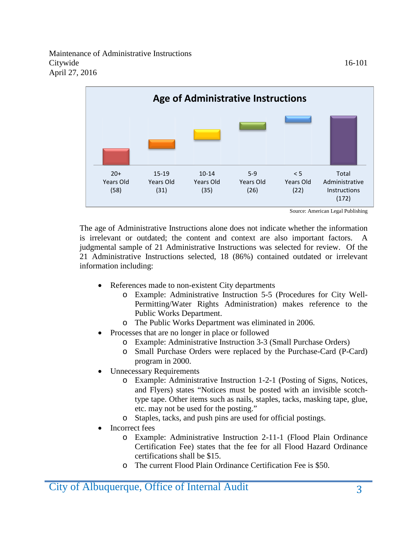

The age of Administrative Instructions alone does not indicate whether the information is irrelevant or outdated; the content and context are also important factors. A judgmental sample of 21 Administrative Instructions was selected for review. Of the 21 Administrative Instructions selected, 18 (86%) contained outdated or irrelevant information including:

- References made to non-existent City departments
	- o Example: Administrative Instruction 5-5 (Procedures for City Well-Permitting/Water Rights Administration) makes reference to the Public Works Department.
	- o The Public Works Department was eliminated in 2006.
- Processes that are no longer in place or followed
	- o Example: Administrative Instruction 3-3 (Small Purchase Orders)
	- o Small Purchase Orders were replaced by the Purchase-Card (P-Card) program in 2000.
- Unnecessary Requirements
	- o Example: Administrative Instruction 1-2-1 (Posting of Signs, Notices, and Flyers) states "Notices must be posted with an invisible scotchtype tape. Other items such as nails, staples, tacks, masking tape, glue, etc. may not be used for the posting."
	- o Staples, tacks, and push pins are used for official postings.
- Incorrect fees
	- o Example: Administrative Instruction 2-11-1 (Flood Plain Ordinance Certification Fee) states that the fee for all Flood Hazard Ordinance certifications shall be \$15.
	- o The current Flood Plain Ordinance Certification Fee is \$50.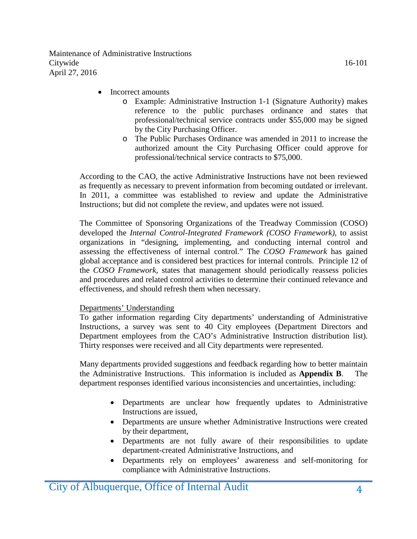- Incorrect amounts
	- o Example: Administrative Instruction 1-1 (Signature Authority) makes reference to the public purchases ordinance and states that professional/technical service contracts under \$55,000 may be signed by the City Purchasing Officer.
	- o The Public Purchases Ordinance was amended in 2011 to increase the authorized amount the City Purchasing Officer could approve for professional/technical service contracts to \$75,000.

According to the CAO, the active Administrative Instructions have not been reviewed as frequently as necessary to prevent information from becoming outdated or irrelevant. In 2011, a committee was established to review and update the Administrative Instructions; but did not complete the review, and updates were not issued.

The Committee of Sponsoring Organizations of the Treadway Commission (COSO) developed the *Internal Control-Integrated Framework (COSO Framework)*, to assist organizations in "designing, implementing, and conducting internal control and assessing the effectiveness of internal control." The *COSO Framework* has gained global acceptance and is considered best practices for internal controls. Principle 12 of the *COSO Framework*, states that management should periodically reassess policies and procedures and related control activities to determine their continued relevance and effectiveness, and should refresh them when necessary.

#### Departments' Understanding

To gather information regarding City departments' understanding of Administrative Instructions, a survey was sent to 40 City employees (Department Directors and Department employees from the CAO's Administrative Instruction distribution list). Thirty responses were received and all City departments were represented.

Many departments provided suggestions and feedback regarding how to better maintain the Administrative Instructions. This information is included as **Appendix B**. The department responses identified various inconsistencies and uncertainties, including:

- Departments are unclear how frequently updates to Administrative Instructions are issued,
- Departments are unsure whether Administrative Instructions were created by their department,
- Departments are not fully aware of their responsibilities to update department-created Administrative Instructions, and
- Departments rely on employees' awareness and self-monitoring for compliance with Administrative Instructions.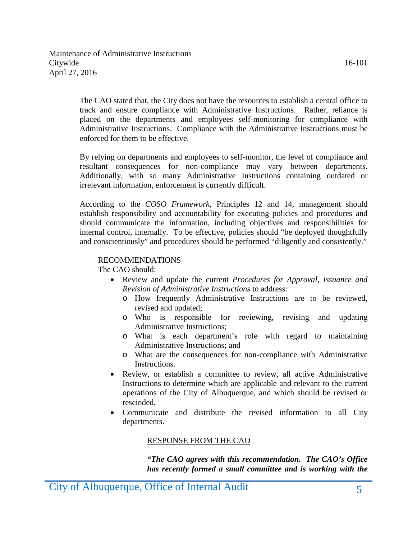The CAO stated that, the City does not have the resources to establish a central office to track and ensure compliance with Administrative Instructions. Rather, reliance is placed on the departments and employees self-monitoring for compliance with Administrative Instructions. Compliance with the Administrative Instructions must be enforced for them to be effective.

By relying on departments and employees to self-monitor, the level of compliance and resultant consequences for non-compliance may vary between departments. Additionally, with so many Administrative Instructions containing outdated or irrelevant information, enforcement is currently difficult.

According to the *COSO Framework*, Principles 12 and 14, management should establish responsibility and accountability for executing policies and procedures and should communicate the information, including objectives and responsibilities for internal control, internally. To be effective, policies should "be deployed thoughtfully and conscientiously" and procedures should be performed "diligently and consistently."

#### RECOMMENDATIONS

The CAO should:

- Review and update the current *Procedures for Approval, Issuance and Revision of Administrative Instructions* to address:
	- o How frequently Administrative Instructions are to be reviewed, revised and updated;
	- o Who is responsible for reviewing, revising and updating Administrative Instructions;
	- o What is each department's role with regard to maintaining Administrative Instructions; and
	- o What are the consequences for non-compliance with Administrative Instructions.
- Review, or establish a committee to review, all active Administrative Instructions to determine which are applicable and relevant to the current operations of the City of Albuquerque, and which should be revised or rescinded.
- Communicate and distribute the revised information to all City departments.

#### RESPONSE FROM THE CAO

*"The CAO agrees with this recommendation. The CAO's Office has recently formed a small committee and is working with the*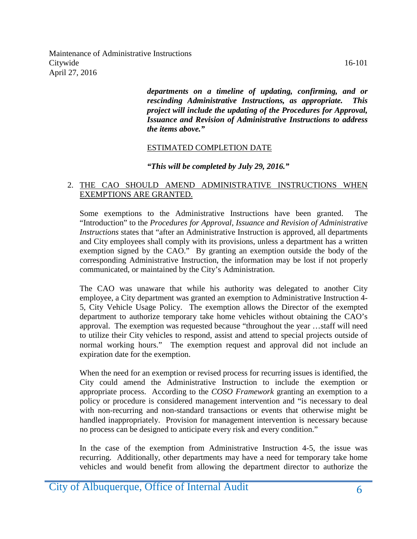> *departments on a timeline of updating, confirming, and or rescinding Administrative Instructions, as appropriate. This project will include the updating of the Procedures for Approval, Issuance and Revision of Administrative Instructions to address the items above."*

#### ESTIMATED COMPLETION DATE

#### *"This will be completed by July 29, 2016."*

#### 2. THE CAO SHOULD AMEND ADMINISTRATIVE INSTRUCTIONS WHEN EXEMPTIONS ARE GRANTED.

Some exemptions to the Administrative Instructions have been granted. The "Introduction" to the *Procedures for Approval, Issuance and Revision of Administrative Instructions* states that "after an Administrative Instruction is approved, all departments and City employees shall comply with its provisions, unless a department has a written exemption signed by the CAO." By granting an exemption outside the body of the corresponding Administrative Instruction, the information may be lost if not properly communicated, or maintained by the City's Administration.

The CAO was unaware that while his authority was delegated to another City employee, a City department was granted an exemption to Administrative Instruction 4- 5, City Vehicle Usage Policy. The exemption allows the Director of the exempted department to authorize temporary take home vehicles without obtaining the CAO's approval. The exemption was requested because "throughout the year …staff will need to utilize their City vehicles to respond, assist and attend to special projects outside of normal working hours." The exemption request and approval did not include an expiration date for the exemption.

When the need for an exemption or revised process for recurring issues is identified, the City could amend the Administrative Instruction to include the exemption or appropriate process. According to the *COSO Framework* granting an exemption to a policy or procedure is considered management intervention and "is necessary to deal with non-recurring and non-standard transactions or events that otherwise might be handled inappropriately. Provision for management intervention is necessary because no process can be designed to anticipate every risk and every condition."

In the case of the exemption from Administrative Instruction 4-5, the issue was recurring. Additionally, other departments may have a need for temporary take home vehicles and would benefit from allowing the department director to authorize the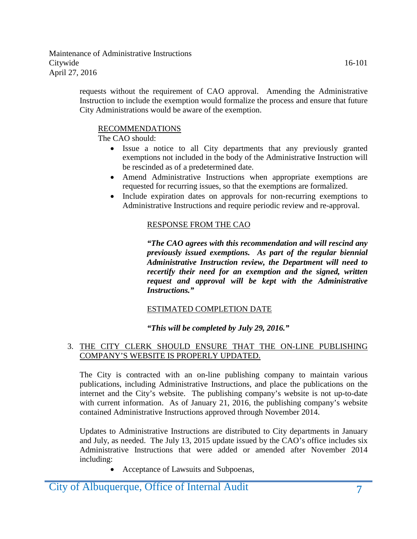requests without the requirement of CAO approval. Amending the Administrative Instruction to include the exemption would formalize the process and ensure that future City Administrations would be aware of the exemption.

#### RECOMMENDATIONS

The CAO should:

- Issue a notice to all City departments that any previously granted exemptions not included in the body of the Administrative Instruction will be rescinded as of a predetermined date.
- Amend Administrative Instructions when appropriate exemptions are requested for recurring issues, so that the exemptions are formalized.
- Include expiration dates on approvals for non-recurring exemptions to Administrative Instructions and require periodic review and re-approval.

#### RESPONSE FROM THE CAO

*"The CAO agrees with this recommendation and will rescind any previously issued exemptions. As part of the regular biennial Administrative Instruction review, the Department will need to recertify their need for an exemption and the signed, written request and approval will be kept with the Administrative Instructions."*

#### ESTIMATED COMPLETION DATE

#### *"This will be completed by July 29, 2016."*

#### 3. THE CITY CLERK SHOULD ENSURE THAT THE ON-LINE PUBLISHING COMPANY'S WEBSITE IS PROPERLY UPDATED.

The City is contracted with an on-line publishing company to maintain various publications, including Administrative Instructions, and place the publications on the internet and the City's website. The publishing company's website is not up-to-date with current information. As of January 21, 2016, the publishing company's website contained Administrative Instructions approved through November 2014.

Updates to Administrative Instructions are distributed to City departments in January and July, as needed. The July 13, 2015 update issued by the CAO's office includes six Administrative Instructions that were added or amended after November 2014 including:

• Acceptance of Lawsuits and Subpoenas,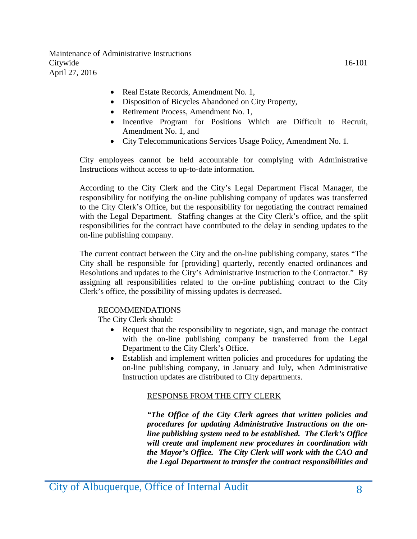- Real Estate Records, Amendment No. 1,
- Disposition of Bicycles Abandoned on City Property,
- Retirement Process, Amendment No. 1,
- Incentive Program for Positions Which are Difficult to Recruit, Amendment No. 1, and
- City Telecommunications Services Usage Policy, Amendment No. 1.

City employees cannot be held accountable for complying with Administrative Instructions without access to up-to-date information.

According to the City Clerk and the City's Legal Department Fiscal Manager, the responsibility for notifying the on-line publishing company of updates was transferred to the City Clerk's Office, but the responsibility for negotiating the contract remained with the Legal Department. Staffing changes at the City Clerk's office, and the split responsibilities for the contract have contributed to the delay in sending updates to the on-line publishing company.

The current contract between the City and the on-line publishing company, states "The City shall be responsible for [providing] quarterly, recently enacted ordinances and Resolutions and updates to the City's Administrative Instruction to the Contractor." By assigning all responsibilities related to the on-line publishing contract to the City Clerk's office, the possibility of missing updates is decreased.

#### RECOMMENDATIONS

The City Clerk should:

- Request that the responsibility to negotiate, sign, and manage the contract with the on-line publishing company be transferred from the Legal Department to the City Clerk's Office.
- Establish and implement written policies and procedures for updating the on-line publishing company, in January and July, when Administrative Instruction updates are distributed to City departments.

#### RESPONSE FROM THE CITY CLERK

*"The Office of the City Clerk agrees that written policies and procedures for updating Administrative Instructions on the online publishing system need to be established. The Clerk's Office will create and implement new procedures in coordination with the Mayor's Office. The City Clerk will work with the CAO and the Legal Department to transfer the contract responsibilities and*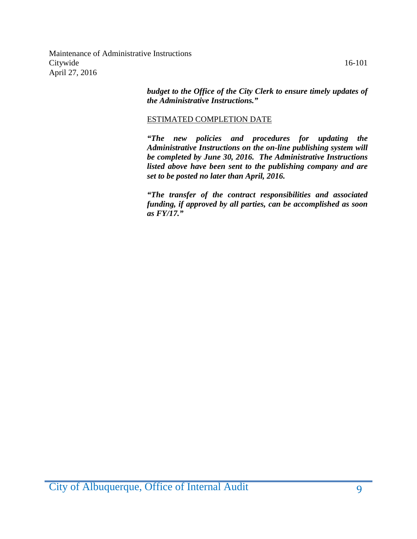*budget to the Office of the City Clerk to ensure timely updates of the Administrative Instructions."*

#### ESTIMATED COMPLETION DATE

*"The new policies and procedures for updating the Administrative Instructions on the on-line publishing system will be completed by June 30, 2016. The Administrative Instructions listed above have been sent to the publishing company and are set to be posted no later than April, 2016.*

*"The transfer of the contract responsibilities and associated funding, if approved by all parties, can be accomplished as soon as FY/17."*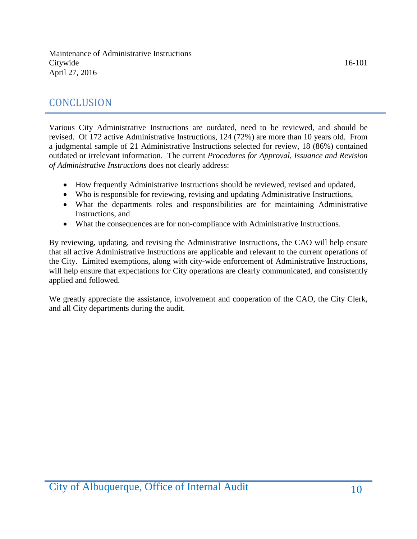## **CONCLUSION**

Various City Administrative Instructions are outdated, need to be reviewed, and should be revised. Of 172 active Administrative Instructions, 124 (72%) are more than 10 years old. From a judgmental sample of 21 Administrative Instructions selected for review, 18 (86%) contained outdated or irrelevant information. The current *Procedures for Approval, Issuance and Revision of Administrative Instructions* does not clearly address:

- How frequently Administrative Instructions should be reviewed, revised and updated,
- Who is responsible for reviewing, revising and updating Administrative Instructions,
- What the departments roles and responsibilities are for maintaining Administrative Instructions, and
- What the consequences are for non-compliance with Administrative Instructions.

By reviewing, updating, and revising the Administrative Instructions, the CAO will help ensure that all active Administrative Instructions are applicable and relevant to the current operations of the City. Limited exemptions, along with city-wide enforcement of Administrative Instructions, will help ensure that expectations for City operations are clearly communicated, and consistently applied and followed.

We greatly appreciate the assistance, involvement and cooperation of the CAO, the City Clerk, and all City departments during the audit.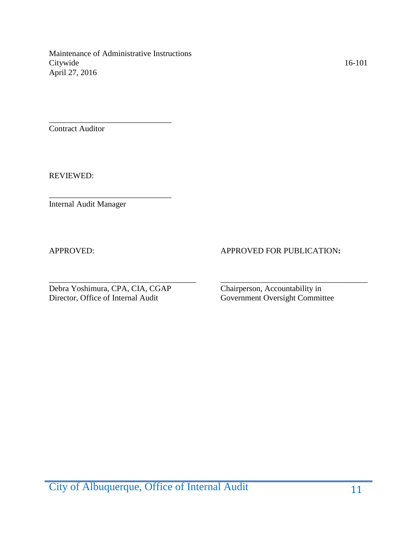\_\_\_\_\_\_\_\_\_\_\_\_\_\_\_\_\_\_\_\_\_\_\_\_\_\_\_\_\_\_

\_\_\_\_\_\_\_\_\_\_\_\_\_\_\_\_\_\_\_\_\_\_\_\_\_\_\_\_\_\_

Contract Auditor

REVIEWED:

Internal Audit Manager

#### APPROVED: APPROVED FOR PUBLICATION:

\_\_\_\_\_\_\_\_\_\_\_\_\_\_\_\_\_\_\_\_\_\_\_\_\_\_\_\_\_\_\_\_\_\_\_\_ \_\_\_\_\_\_\_\_\_\_\_\_\_\_\_\_\_\_\_\_\_\_\_\_\_\_\_\_\_\_\_\_\_\_\_\_ Debra Yoshimura, CPA, CIA, CGAP Chairperson, Accountability in Director, Office of Internal Audit Government Oversight Commit

Government Oversight Committee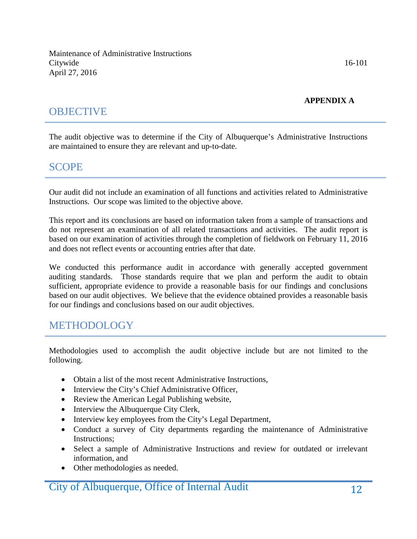#### **APPENDIX A**

## **OBJECTIVE**

The audit objective was to determine if the City of Albuquerque's Administrative Instructions are maintained to ensure they are relevant and up-to-date.

### SCOPE

Our audit did not include an examination of all functions and activities related to Administrative Instructions. Our scope was limited to the objective above.

This report and its conclusions are based on information taken from a sample of transactions and do not represent an examination of all related transactions and activities. The audit report is based on our examination of activities through the completion of fieldwork on February 11, 2016 and does not reflect events or accounting entries after that date.

We conducted this performance audit in accordance with generally accepted government auditing standards. Those standards require that we plan and perform the audit to obtain sufficient, appropriate evidence to provide a reasonable basis for our findings and conclusions based on our audit objectives. We believe that the evidence obtained provides a reasonable basis for our findings and conclusions based on our audit objectives.

## METHODOLOGY

Methodologies used to accomplish the audit objective include but are not limited to the following.

- Obtain a list of the most recent Administrative Instructions,
- Interview the City's Chief Administrative Officer,
- Review the American Legal Publishing website,
- Interview the Albuquerque City Clerk,
- Interview key employees from the City's Legal Department,
- Conduct a survey of City departments regarding the maintenance of Administrative Instructions;
- Select a sample of Administrative Instructions and review for outdated or irrelevant information, and
- Other methodologies as needed.

## City of Albuquerque, Office of Internal Audit 12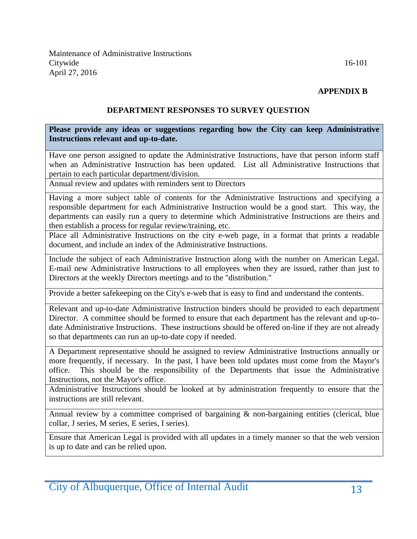#### **APPENDIX B**

#### **DEPARTMENT RESPONSES TO SURVEY QUESTION**

#### **Please provide any ideas or suggestions regarding how the City can keep Administrative Instructions relevant and up-to-date.**

Have one person assigned to update the Administrative Instructions, have that person inform staff when an Administrative Instruction has been updated. List all Administrative Instructions that pertain to each particular department/division.

Annual review and updates with reminders sent to Directors

Having a more subject table of contents for the Administrative Instructions and specifying a responsible department for each Administrative Instruction would be a good start. This way, the departments can easily run a query to determine which Administrative Instructions are theirs and then establish a process for regular review/training, etc.

Place all Administrative Instructions on the city e-web page, in a format that prints a readable document, and include an index of the Administrative Instructions.

Include the subject of each Administrative Instruction along with the number on American Legal. E-mail new Administrative Instructions to all employees when they are issued, rather than just to Directors at the weekly Directors meetings and to the "distribution."

Provide a better safekeeping on the City's e-web that is easy to find and understand the contents.

Relevant and up-to-date Administrative Instruction binders should be provided to each department Director. A committee should be formed to ensure that each department has the relevant and up-todate Administrative Instructions. These instructions should be offered on-line if they are not already so that departments can run an up-to-date copy if needed.

A Department representative should be assigned to review Administrative Instructions annually or more frequently, if necessary. In the past, I have been told updates must come from the Mayor's office. This should be the responsibility of the Departments that issue the Administrative Instructions, not the Mayor's office.

Administrative Instructions should be looked at by administration frequently to ensure that the instructions are still relevant.

Annual review by a committee comprised of bargaining  $\&$  non-bargaining entities (clerical, blue collar, J series, M series, E series, I series).

Ensure that American Legal is provided with all updates in a timely manner so that the web version is up to date and can be relied upon.